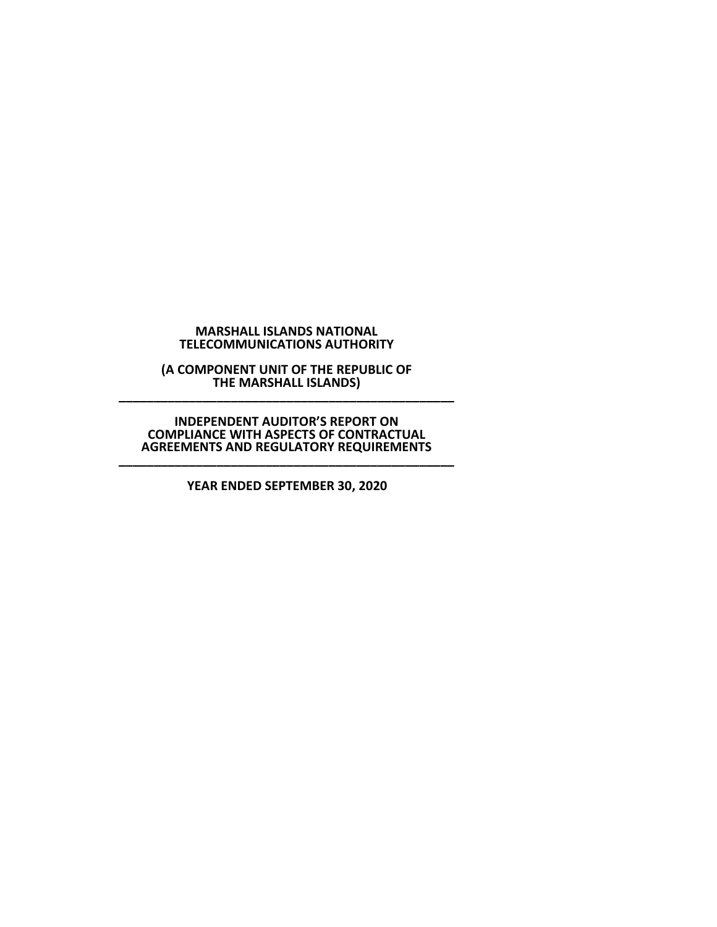## **MARSHALL ISLANDS NATIONAL TELECOMMUNICATIONS AUTHORITY**

**(A COMPONENT UNIT OF THE REPUBLIC OF THE MARSHALL ISLANDS) \_\_\_\_\_\_\_\_\_\_\_\_\_\_\_\_\_\_\_\_\_\_\_\_\_\_\_\_\_\_\_\_\_\_\_\_\_\_\_\_\_\_\_\_\_\_\_\_**

**INDEPENDENT AUDITOR'S REPORT ON COMPLIANCE WITH ASPECTS OF CONTRACTUAL AGREEMENTS AND REGULATORY REQUIREMENTS \_\_\_\_\_\_\_\_\_\_\_\_\_\_\_\_\_\_\_\_\_\_\_\_\_\_\_\_\_\_\_\_\_\_\_\_\_\_\_\_\_\_\_\_\_\_\_\_**

**YEAR ENDED SEPTEMBER 30, 2020**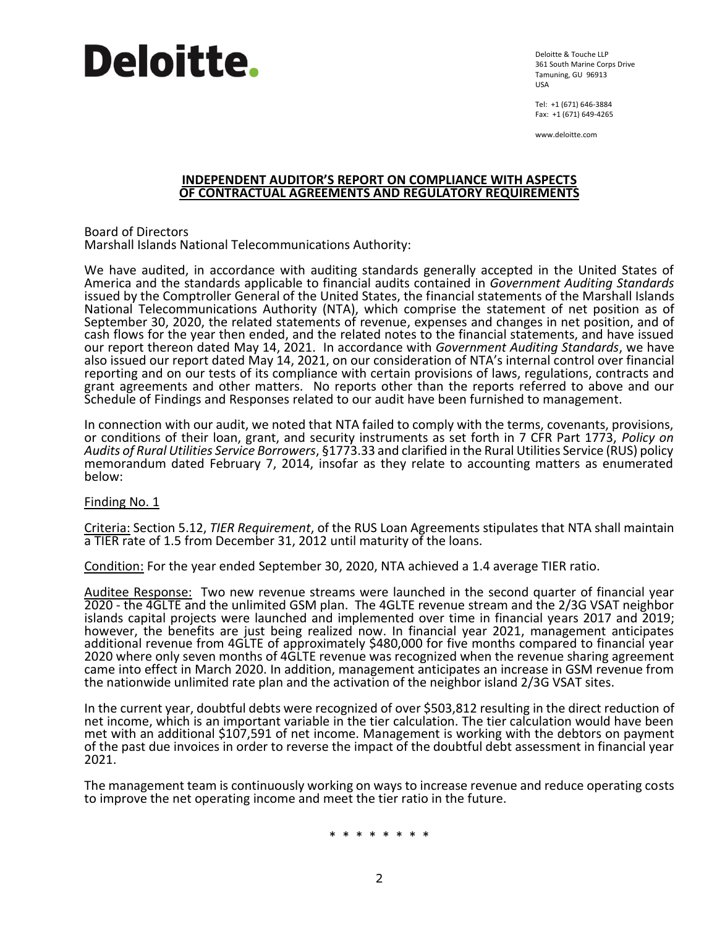

Deloitte & Touche LLP 361 South Marine Corps Drive Tamuning, GU 96913 USA

Tel: +1 (671) 646-3884 Fax: +1 (671) 649-4265

www.deloitte.com

## **INDEPENDENT AUDITOR'S REPORT ON COMPLIANCE WITH ASPECTS OF CONTRACTUAL AGREEMENTS AND REGULATORY REQUIREMENTS**

Board of Directors Marshall Islands National Telecommunications Authority:

We have audited, in accordance with auditing standards generally accepted in the United States of America and the standards applicable to financial audits contained in *Government Auditing Standards* issued by the Comptroller General of the United States, the financial statements of the Marshall Islands National Telecommunications Authority (NTA), which comprise the statement of net position as of September 30, 2020, the related statements of revenue, expenses and changes in net position, and of cash flows for the year then ended, and the related notes to the financial statements, and have issued our report thereon dated May 14, 2021. In accordance with *Government Auditing Standards*, we have also issued our report dated May 14, 2021, on our consideration of NTA's internal control over financial reporting and on our tests of its compliance with certain provisions of laws, regulations, contracts and grant agreements and other matters. No reports other than the reports referred to above and our Schedule of Findings and Responses related to our audit have been furnished to management.

In connection with our audit, we noted that NTA failed to comply with the terms, covenants, provisions, or conditions of their loan, grant, and security instruments as set forth in 7 CFR Part 1773, *Policy on Audits of Rural Utilities Service Borrowers*, §1773.33 and clarified in the Rural Utilities Service (RUS) policy memorandum dated February 7, 2014, insofar as they relate to accounting matters as enumerated below:

## Finding No. 1

Criteria: Section 5.12, *TIER Requirement*, of the RUS Loan Agreements stipulates that NTA shall maintain a TIER rate of 1.5 from December 31, 2012 until maturity of the loans.

Condition: For the year ended September 30, 2020, NTA achieved a 1.4 average TIER ratio.

Auditee Response: Two new revenue streams were launched in the second quarter of financial year 2020 - the 4GLTE and the unlimited GSM plan. The 4GLTE revenue stream and the 2/3G VSAT neighbor islands capital projects were launched and implemented over time in financial years 2017 and 2019; however, the benefits are just being realized now. In financial year 2021, management anticipates additional revenue from 4GLTE of approximately \$480,000 for five months compared to financial year 2020 where only seven months of 4GLTE revenue was recognized when the revenue sharing agreement came into effect in March 2020. In addition, management anticipates an increase in GSM revenue from the nationwide unlimited rate plan and the activation of the neighbor island 2/3G VSAT sites.

In the current year, doubtful debts were recognized of over \$503,812 resulting in the direct reduction of net income, which is an important variable in the tier calculation. The tier calculation would have been met with an additional \$107,591 of net income. Management is working with the debtors on payment of the past due invoices in order to reverse the impact of the doubtful debt assessment in financial year 2021.

The management team is continuously working on ways to increase revenue and reduce operating costs to improve the net operating income and meet the tier ratio in the future.

\* \* \* \* \* \* \* \*